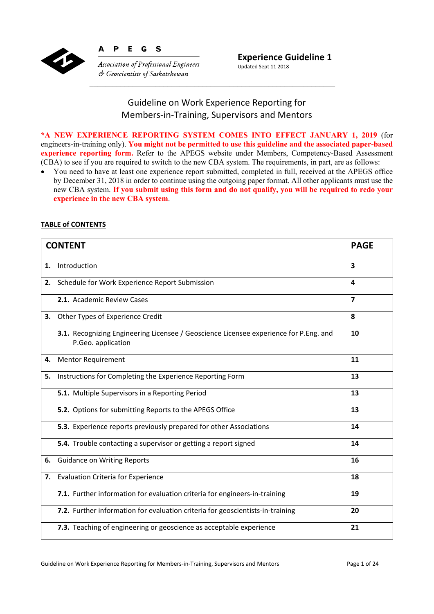

P E G  $\mathbf s$ 

Δ

**Association of Professional Engineers**  $\phi$  Geoscientists of Saskatchewan

## Guideline on Work Experience Reporting for Members‐in‐Training, Supervisors and Mentors

**\*A NEW EXPERIENCE REPORTING SYSTEM COMES INTO EFFECT JANUARY 1, 2019** (for engineers-in-training only). **You might not be permitted to use this guideline and the associated paper-based experience reporting form.** Refer to the APEGS website under Members, Competency-Based Assessment (CBA) to see if you are required to switch to the new CBA system. The requirements, in part, are as follows:

 You need to have at least one experience report submitted, completed in full, received at the APEGS office by December 31, 2018 in order to continue using the outgoing paper format. All other applicants must use the new CBA system. **If you submit using this form and do not qualify, you will be required to redo your experience in the new CBA system**.

## **TABLE of CONTENTS**

| <b>CONTENT</b> |                                                                                                             | <b>PAGE</b> |
|----------------|-------------------------------------------------------------------------------------------------------------|-------------|
| 1.             | Introduction                                                                                                | 3           |
| 2.             | Schedule for Work Experience Report Submission                                                              | 4           |
|                | 2.1. Academic Review Cases                                                                                  | 7           |
| 3.             | Other Types of Experience Credit                                                                            | 8           |
|                | 3.1. Recognizing Engineering Licensee / Geoscience Licensee experience for P.Eng. and<br>P.Geo. application | 10          |
| 4.             | <b>Mentor Requirement</b>                                                                                   | 11          |
| 5.             | Instructions for Completing the Experience Reporting Form                                                   | 13          |
|                | 5.1. Multiple Supervisors in a Reporting Period                                                             | 13          |
|                | 5.2. Options for submitting Reports to the APEGS Office                                                     | 13          |
|                | 5.3. Experience reports previously prepared for other Associations                                          | 14          |
|                | 5.4. Trouble contacting a supervisor or getting a report signed                                             | 14          |
| 6.             | <b>Guidance on Writing Reports</b>                                                                          | 16          |
| 7.             | <b>Evaluation Criteria for Experience</b>                                                                   | 18          |
|                | 7.1. Further information for evaluation criteria for engineers-in-training                                  | 19          |
|                | 7.2. Further information for evaluation criteria for geoscientists-in-training                              | 20          |
|                | 7.3. Teaching of engineering or geoscience as acceptable experience                                         | 21          |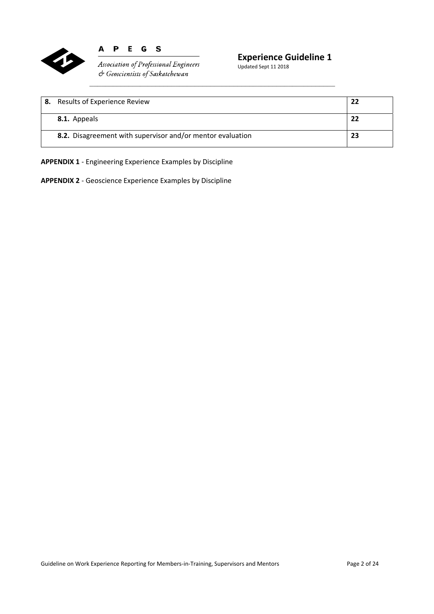

#### E G S  $\mathbf{A}$  $\mathbf P$

Association of Professional Engineers  $c$  Geoscientists of Saskatchewan

## **Experience Guideline 1**

Updated Sept 11 2018

| 8. | Results of Experience Review                               | 22 |
|----|------------------------------------------------------------|----|
|    | 8.1. Appeals                                               | 22 |
|    | 8.2. Disagreement with supervisor and/or mentor evaluation | 23 |

**APPENDIX 1** ‐ Engineering Experience Examples by Discipline

**APPENDIX 2** ‐ Geoscience Experience Examples by Discipline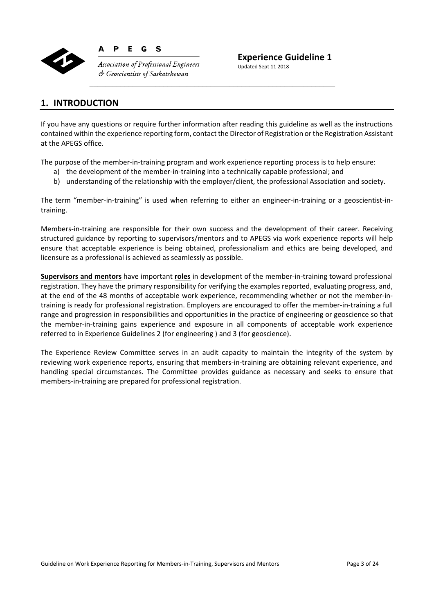

**Association of Professional Engineers**  $\phi$  Geoscientists of Saskatchewan

**Experience Guideline 1** 

Updated Sept 11 2018

## **1. INTRODUCTION**

If you have any questions or require further information after reading this guideline as well as the instructions contained within the experience reporting form, contact the Director of Registration or the Registration Assistant at the APEGS office.

The purpose of the member-in-training program and work experience reporting process is to help ensure:

- a) the development of the member-in-training into a technically capable professional; and
- b) understanding of the relationship with the employer/client, the professional Association and society.

The term "member-in-training" is used when referring to either an engineer-in-training or a geoscientist-intraining.

Members-in-training are responsible for their own success and the development of their career. Receiving structured guidance by reporting to supervisors/mentors and to APEGS via work experience reports will help ensure that acceptable experience is being obtained, professionalism and ethics are being developed, and licensure as a professional is achieved as seamlessly as possible.

**Supervisors and mentors** have important **roles** in development of the member‐in‐training toward professional registration. They have the primary responsibility for verifying the examples reported, evaluating progress, and, at the end of the 48 months of acceptable work experience, recommending whether or not the member‐in‐ training is ready for professional registration. Employers are encouraged to offer the member‐in‐training a full range and progression in responsibilities and opportunities in the practice of engineering or geoscience so that the member-in-training gains experience and exposure in all components of acceptable work experience referred to in Experience Guidelines 2 (for engineering ) and 3 (for geoscience).

The Experience Review Committee serves in an audit capacity to maintain the integrity of the system by reviewing work experience reports, ensuring that members-in-training are obtaining relevant experience, and handling special circumstances. The Committee provides guidance as necessary and seeks to ensure that members‐in‐training are prepared for professional registration.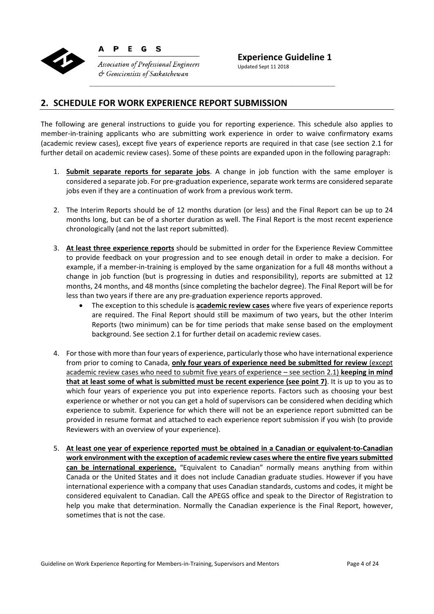

P E G  $\mathbf{s}$ 

**Experience Guideline 1** 

**Association of Professional Engineers**  $\phi$  Geoscientists of Saskatchewan

Updated Sept 11 2018

## **2. SCHEDULE FOR WORK EXPERIENCE REPORT SUBMISSION**

The following are general instructions to guide you for reporting experience. This schedule also applies to member-in-training applicants who are submitting work experience in order to waive confirmatory exams (academic review cases), except five years of experience reports are required in that case (see section 2.1 for further detail on academic review cases). Some of these points are expanded upon in the following paragraph:

- 1. **Submit separate reports for separate jobs**. A change in job function with the same employer is considered a separate job. For pre‐graduation experience, separate work terms are considered separate jobs even if they are a continuation of work from a previous work term.
- 2. The Interim Reports should be of 12 months duration (or less) and the Final Report can be up to 24 months long, but can be of a shorter duration as well. The Final Report is the most recent experience chronologically (and not the last report submitted).
- 3. **At least three experience reports** should be submitted in order for the Experience Review Committee to provide feedback on your progression and to see enough detail in order to make a decision. For example, if a member-in-training is employed by the same organization for a full 48 months without a change in job function (but is progressing in duties and responsibility), reports are submitted at 12 months, 24 months, and 48 months (since completing the bachelor degree). The Final Report will be for less than two years if there are any pre‐graduation experience reports approved.
	- The exception to this schedule is **academic review cases** where five years of experience reports are required. The Final Report should still be maximum of two years, but the other Interim Reports (two minimum) can be for time periods that make sense based on the employment background. See section 2.1 for further detail on academic review cases.
- 4. For those with more than four years of experience, particularly those who have international experience from prior to coming to Canada, **only four years of experience need be submitted for review** (except academic review cases who need to submit five years of experience – see section 2.1) **keeping in mind that at least some of what is submitted must be recent experience (see point 7)**. It is up to you as to which four years of experience you put into experience reports. Factors such as choosing your best experience or whether or not you can get a hold of supervisors can be considered when deciding which experience to submit. Experience for which there will not be an experience report submitted can be provided in resume format and attached to each experience report submission if you wish (to provide Reviewers with an overview of your experience).
- 5. **At least one year of experience reported must be obtained in a Canadian or equivalent‐to‐Canadian work environment with the exception of academic review cases where the entire five years submitted can be international experience.** "Equivalent to Canadian" normally means anything from within Canada or the United States and it does not include Canadian graduate studies. However if you have international experience with a company that uses Canadian standards, customs and codes, it might be considered equivalent to Canadian. Call the APEGS office and speak to the Director of Registration to help you make that determination. Normally the Canadian experience is the Final Report, however, sometimes that is not the case.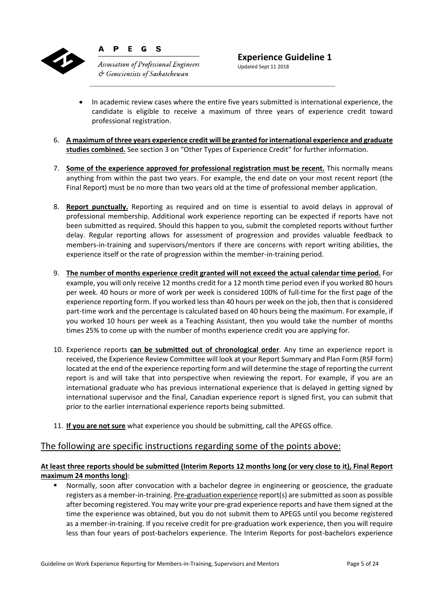

**Association of Professional Engineers**  $\circ$  Geoscientists of Saskatchewan

G S

P E

- In academic review cases where the entire five years submitted is international experience, the candidate is eligible to receive a maximum of three years of experience credit toward professional registration.
- 6. **A maximum of three years experience credit will be granted for international experience and graduate studies combined.** See section 3 on "Other Types of Experience Credit" for further information.
- 7. **Some of the experience approved for professional registration must be recent.** This normally means anything from within the past two years. For example, the end date on your most recent report (the Final Report) must be no more than two years old at the time of professional member application.
- 8. **Report punctually.** Reporting as required and on time is essential to avoid delays in approval of professional membership. Additional work experience reporting can be expected if reports have not been submitted as required. Should this happen to you, submit the completed reports without further delay. Regular reporting allows for assessment of progression and provides valuable feedback to members-in-training and supervisors/mentors if there are concerns with report writing abilities, the experience itself or the rate of progression within the member-in-training period.
- 9. **The number of months experience credit granted will not exceed the actual calendar time period.** For example, you will only receive 12 months credit for a 12 month time period even if you worked 80 hours per week. 40 hours or more of work per week is considered 100% of full‐time for the first page of the experience reporting form. If you worked less than 40 hours per week on the job, then that is considered part-time work and the percentage is calculated based on 40 hours being the maximum. For example, if you worked 10 hours per week as a Teaching Assistant, then you would take the number of months times 25% to come up with the number of months experience credit you are applying for.
- 10. Experience reports **can be submitted out of chronological order**. Any time an experience report is received, the Experience Review Committee will look at your Report Summary and Plan Form (RSF form) located at the end of the experience reporting form and will determine the stage of reporting the current report is and will take that into perspective when reviewing the report. For example, if you are an international graduate who has previous international experience that is delayed in getting signed by international supervisor and the final, Canadian experience report is signed first, you can submit that prior to the earlier international experience reports being submitted.
- 11. **If you are not sure** what experience you should be submitting, call the APEGS office.

## The following are specific instructions regarding some of the points above:

#### **At least three reports should be submitted (Interim Reports 12 months long (or very close to it), Final Report maximum 24 months long)**:

 Normally, soon after convocation with a bachelor degree in engineering or geoscience, the graduate registers as a member‐in‐training. Pre‐graduation experience report(s) are submitted as soon as possible after becoming registered. You may write your pre‐grad experience reports and have them signed at the time the experience was obtained, but you do not submit them to APEGS until you become registered as a member‐in‐training. If you receive credit for pre‐graduation work experience, then you will require less than four years of post‐bachelors experience. The Interim Reports for post‐bachelors experience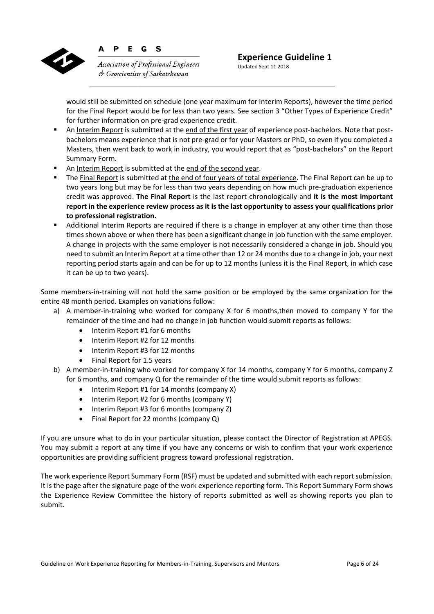

G **Association of Professional Engineers**  $\circ$  Geoscientists of Saskatchewan

 $\mathbf{s}$ 

P

E

Updated Sept 11 2018

would still be submitted on schedule (one year maximum for Interim Reports), however the time period for the Final Report would be for less than two years. See section 3 "Other Types of Experience Credit" for further information on pre‐grad experience credit.

- An Interim Report is submitted at the end of the first year of experience post-bachelors. Note that postbachelors means experience that is not pre‐grad or for your Masters or PhD, so even if you completed a Masters, then went back to work in industry, you would report that as "post‐bachelors" on the Report Summary Form.
- An Interim Report is submitted at the end of the second year.
- The Final Report is submitted at the end of four years of total experience. The Final Report can be up to two years long but may be for less than two years depending on how much pre‐graduation experience credit was approved. **The Final Report** is the last report chronologically and **it is the most important report in the experience review process as it is the last opportunity to assess your qualifications prior to professional registration.**
- Additional Interim Reports are required if there is a change in employer at any other time than those times shown above or when there has been a significant change in job function with the same employer. A change in projects with the same employer is not necessarily considered a change in job. Should you need to submit an Interim Report at a time other than 12 or 24 months due to a change in job, your next reporting period starts again and can be for up to 12 months (unless it is the Final Report, in which case it can be up to two years).

Some members-in-training will not hold the same position or be employed by the same organization for the entire 48 month period. Examples on variations follow:

- a) A member-in-training who worked for company X for 6 months, then moved to company Y for the remainder of the time and had no change in job function would submit reports as follows:
	- Interim Report #1 for 6 months
	- Interim Report #2 for 12 months
	- Interim Report #3 for 12 months
	- Final Report for 1.5 years
- b) A member-in-training who worked for company X for 14 months, company Y for 6 months, company Z for 6 months, and company Q for the remainder of the time would submit reports as follows:
	- $\bullet$  Interim Report #1 for 14 months (company X)
	- $\bullet$  Interim Report #2 for 6 months (company Y)
	- Interim Report #3 for 6 months (company Z)
	- Final Report for 22 months (company Q)

If you are unsure what to do in your particular situation, please contact the Director of Registration at APEGS. You may submit a report at any time if you have any concerns or wish to confirm that your work experience opportunities are providing sufficient progress toward professional registration.

The work experience Report Summary Form (RSF) must be updated and submitted with each report submission. It is the page after the signature page of the work experience reporting form. This Report Summary Form shows the Experience Review Committee the history of reports submitted as well as showing reports you plan to submit.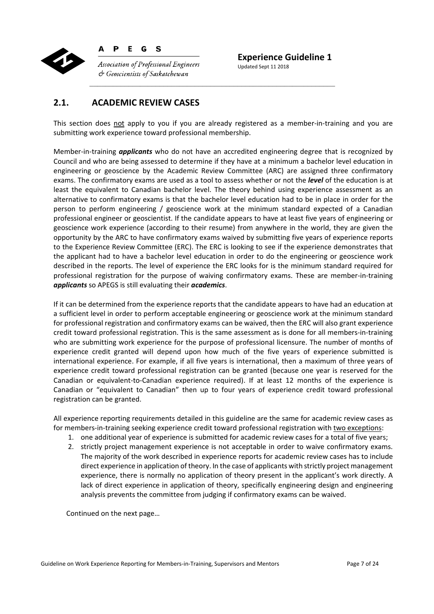

P E G  $\mathbf{s}$ 

**Association of Professional Engineers**  $\phi$  Geoscientists of Saskatchewan

**Experience Guideline 1**  Updated Sept 11 2018

## **2.1. ACADEMIC REVIEW CASES**

This section does not apply to you if you are already registered as a member-in-training and you are submitting work experience toward professional membership.

Member‐in‐training *applicants* who do not have an accredited engineering degree that is recognized by Council and who are being assessed to determine if they have at a minimum a bachelor level education in engineering or geoscience by the Academic Review Committee (ARC) are assigned three confirmatory exams. The confirmatory exams are used as a tool to assess whether or not the *level* of the education is at least the equivalent to Canadian bachelor level. The theory behind using experience assessment as an alternative to confirmatory exams is that the bachelor level education had to be in place in order for the person to perform engineering / geoscience work at the minimum standard expected of a Canadian professional engineer or geoscientist. If the candidate appears to have at least five years of engineering or geoscience work experience (according to their resume) from anywhere in the world, they are given the opportunity by the ARC to have confirmatory exams waived by submitting five years of experience reports to the Experience Review Committee (ERC). The ERC is looking to see if the experience demonstrates that the applicant had to have a bachelor level education in order to do the engineering or geoscience work described in the reports. The level of experience the ERC looks for is the minimum standard required for professional registration for the purpose of waiving confirmatory exams. These are member‐in‐training *applicants* so APEGS is still evaluating their *academics*.

If it can be determined from the experience reports that the candidate appears to have had an education at a sufficient level in order to perform acceptable engineering or geoscience work at the minimum standard for professional registration and confirmatory exams can be waived, then the ERC will also grant experience credit toward professional registration. This is the same assessment as is done for all members‐in‐training who are submitting work experience for the purpose of professional licensure. The number of months of experience credit granted will depend upon how much of the five years of experience submitted is international experience. For example, if all five years is international, then a maximum of three years of experience credit toward professional registration can be granted (because one year is reserved for the Canadian or equivalent‐to‐Canadian experience required). If at least 12 months of the experience is Canadian or "equivalent to Canadian" then up to four years of experience credit toward professional registration can be granted.

All experience reporting requirements detailed in this guideline are the same for academic review cases as for members-in-training seeking experience credit toward professional registration with two exceptions:

- 1. one additional year of experience is submitted for academic review cases for a total of five years;
- 2. strictly project management experience is not acceptable in order to waive confirmatory exams. The majority of the work described in experience reports for academic review cases has to include direct experience in application of theory. In the case of applicants with strictly project management experience, there is normally no application of theory present in the applicant's work directly. A lack of direct experience in application of theory, specifically engineering design and engineering analysis prevents the committee from judging if confirmatory exams can be waived.

Continued on the next page…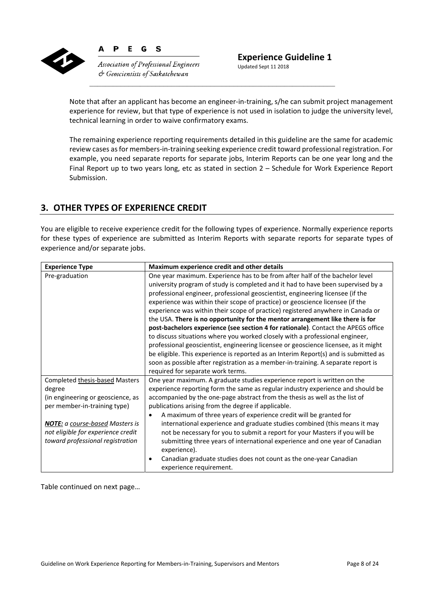

P E G  $\mathbf{s}$ 

**Association of Professional Engineers**  $\circ$  Geoscientists of Saskatchewan

Updated Sept 11 2018

Note that after an applicant has become an engineer-in-training, s/he can submit project management experience for review, but that type of experience is not used in isolation to judge the university level, technical learning in order to waive confirmatory exams.

The remaining experience reporting requirements detailed in this guideline are the same for academic review cases as for members‐in‐training seeking experience credit toward professional registration. For example, you need separate reports for separate jobs, Interim Reports can be one year long and the Final Report up to two years long, etc as stated in section 2 – Schedule for Work Experience Report Submission.

## **3. OTHER TYPES OF EXPERIENCE CREDIT**

You are eligible to receive experience credit for the following types of experience. Normally experience reports for these types of experience are submitted as Interim Reports with separate reports for separate types of experience and/or separate jobs.

| <b>Experience Type</b>                                                                                                                                                                                                            | Maximum experience credit and other details                                                                                                                                                                                                                                                                                                                                                                                                                                                                                                                                                                                                                                                                                                                                                                                                                                                                                                                                           |
|-----------------------------------------------------------------------------------------------------------------------------------------------------------------------------------------------------------------------------------|---------------------------------------------------------------------------------------------------------------------------------------------------------------------------------------------------------------------------------------------------------------------------------------------------------------------------------------------------------------------------------------------------------------------------------------------------------------------------------------------------------------------------------------------------------------------------------------------------------------------------------------------------------------------------------------------------------------------------------------------------------------------------------------------------------------------------------------------------------------------------------------------------------------------------------------------------------------------------------------|
| Pre-graduation                                                                                                                                                                                                                    | One year maximum. Experience has to be from after half of the bachelor level<br>university program of study is completed and it had to have been supervised by a<br>professional engineer, professional geoscientist, engineering licensee (if the<br>experience was within their scope of practice) or geoscience licensee (if the<br>experience was within their scope of practice) registered anywhere in Canada or<br>the USA. There is no opportunity for the mentor arrangement like there is for<br>post-bachelors experience (see section 4 for rationale). Contact the APEGS office<br>to discuss situations where you worked closely with a professional engineer,<br>professional geoscientist, engineering licensee or geoscience licensee, as it might<br>be eligible. This experience is reported as an Interim Report(s) and is submitted as<br>soon as possible after registration as a member-in-training. A separate report is<br>required for separate work terms. |
| Completed thesis-based Masters<br>degree<br>(in engineering or geoscience, as<br>per member-in-training type)<br><b>NOTE:</b> a course-based Masters is<br>not eligible for experience credit<br>toward professional registration | One year maximum. A graduate studies experience report is written on the<br>experience reporting form the same as regular industry experience and should be<br>accompanied by the one-page abstract from the thesis as well as the list of<br>publications arising from the degree if applicable.<br>A maximum of three years of experience credit will be granted for<br>$\bullet$<br>international experience and graduate studies combined (this means it may<br>not be necessary for you to submit a report for your Masters if you will be<br>submitting three years of international experience and one year of Canadian<br>experience).<br>Canadian graduate studies does not count as the one-year Canadian<br>$\bullet$<br>experience requirement.                                                                                                                                                                                                                           |

Table continued on next page…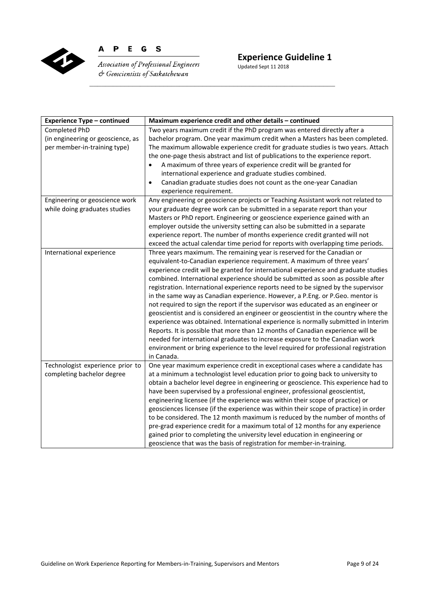

P E G S  $\mathbf{A}$ 

Association of Professional Engineers  $C$  Geoscientists of Saskatchewan

# **Experience Guideline 1**

Updated Sept 11 2018

| <b>Experience Type - continued</b> | Maximum experience credit and other details - continued                              |
|------------------------------------|--------------------------------------------------------------------------------------|
| Completed PhD                      | Two years maximum credit if the PhD program was entered directly after a             |
| (in engineering or geoscience, as  | bachelor program. One year maximum credit when a Masters has been completed.         |
| per member-in-training type)       | The maximum allowable experience credit for graduate studies is two years. Attach    |
|                                    | the one-page thesis abstract and list of publications to the experience report.      |
|                                    | A maximum of three years of experience credit will be granted for<br>$\bullet$       |
|                                    | international experience and graduate studies combined.                              |
|                                    | Canadian graduate studies does not count as the one-year Canadian<br>$\bullet$       |
|                                    | experience requirement.                                                              |
| Engineering or geoscience work     | Any engineering or geoscience projects or Teaching Assistant work not related to     |
| while doing graduates studies      | your graduate degree work can be submitted in a separate report than your            |
|                                    | Masters or PhD report. Engineering or geoscience experience gained with an           |
|                                    | employer outside the university setting can also be submitted in a separate          |
|                                    | experience report. The number of months experience credit granted will not           |
|                                    | exceed the actual calendar time period for reports with overlapping time periods.    |
| International experience           | Three years maximum. The remaining year is reserved for the Canadian or              |
|                                    | equivalent-to-Canadian experience requirement. A maximum of three years'             |
|                                    | experience credit will be granted for international experience and graduate studies  |
|                                    | combined. International experience should be submitted as soon as possible after     |
|                                    | registration. International experience reports need to be signed by the supervisor   |
|                                    | in the same way as Canadian experience. However, a P.Eng. or P.Geo. mentor is        |
|                                    | not required to sign the report if the supervisor was educated as an engineer or     |
|                                    | geoscientist and is considered an engineer or geoscientist in the country where the  |
|                                    | experience was obtained. International experience is normally submitted in Interim   |
|                                    | Reports. It is possible that more than 12 months of Canadian experience will be      |
|                                    | needed for international graduates to increase exposure to the Canadian work         |
|                                    | environment or bring experience to the level required for professional registration  |
|                                    | in Canada.                                                                           |
| Technologist experience prior to   | One year maximum experience credit in exceptional cases where a candidate has        |
| completing bachelor degree         | at a minimum a technologist level education prior to going back to university to     |
|                                    | obtain a bachelor level degree in engineering or geoscience. This experience had to  |
|                                    | have been supervised by a professional engineer, professional geoscientist,          |
|                                    | engineering licensee (if the experience was within their scope of practice) or       |
|                                    | geosciences licensee (if the experience was within their scope of practice) in order |
|                                    | to be considered. The 12 month maximum is reduced by the number of months of         |
|                                    | pre-grad experience credit for a maximum total of 12 months for any experience       |
|                                    | gained prior to completing the university level education in engineering or          |
|                                    | geoscience that was the basis of registration for member-in-training.                |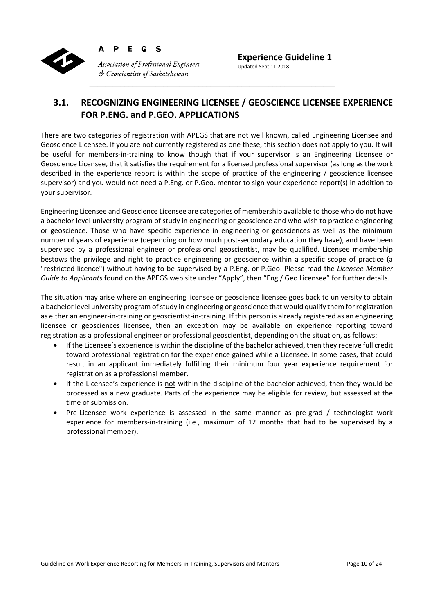

**Association of Professional Engineers**  $\circ$  Geoscientists of Saskatchewan

**Experience Guideline 1**  Updated Sept 11 2018

## **3.1. RECOGNIZING ENGINEERING LICENSEE / GEOSCIENCE LICENSEE EXPERIENCE FOR P.ENG. and P.GEO. APPLICATIONS**

There are two categories of registration with APEGS that are not well known, called Engineering Licensee and Geoscience Licensee. If you are not currently registered as one these, this section does not apply to you. It will be useful for members-in-training to know though that if your supervisor is an Engineering Licensee or Geoscience Licensee, that it satisfies the requirement for a licensed professional supervisor (as long as the work described in the experience report is within the scope of practice of the engineering / geoscience licensee supervisor) and you would not need a P.Eng. or P.Geo. mentor to sign your experience report(s) in addition to your supervisor.

Engineering Licensee and Geoscience Licensee are categories of membership available to those who do not have a bachelor level university program of study in engineering or geoscience and who wish to practice engineering or geoscience. Those who have specific experience in engineering or geosciences as well as the minimum number of years of experience (depending on how much post-secondary education they have), and have been supervised by a professional engineer or professional geoscientist, may be qualified. Licensee membership bestows the privilege and right to practice engineering or geoscience within a specific scope of practice (a "restricted licence") without having to be supervised by a P.Eng. or P.Geo. Please read the *Licensee Member Guide to Applicants* found on the APEGS web site under "Apply", then "Eng / Geo Licensee" for further details.

The situation may arise where an engineering licensee or geoscience licensee goes back to university to obtain a bachelor level university program of study in engineering or geoscience that would qualify them for registration as either an engineer-in-training or geoscientist-in-training. If this person is already registered as an engineering licensee or geosciences licensee, then an exception may be available on experience reporting toward registration as a professional engineer or professional geoscientist, depending on the situation, as follows:

- If the Licensee's experience is within the discipline of the bachelor achieved, then they receive full credit toward professional registration for the experience gained while a Licensee. In some cases, that could result in an applicant immediately fulfilling their minimum four year experience requirement for registration as a professional member.
- If the Licensee's experience is not within the discipline of the bachelor achieved, then they would be processed as a new graduate. Parts of the experience may be eligible for review, but assessed at the time of submission.
- Pre-Licensee work experience is assessed in the same manner as pre-grad / technologist work experience for members-in-training (i.e., maximum of 12 months that had to be supervised by a professional member).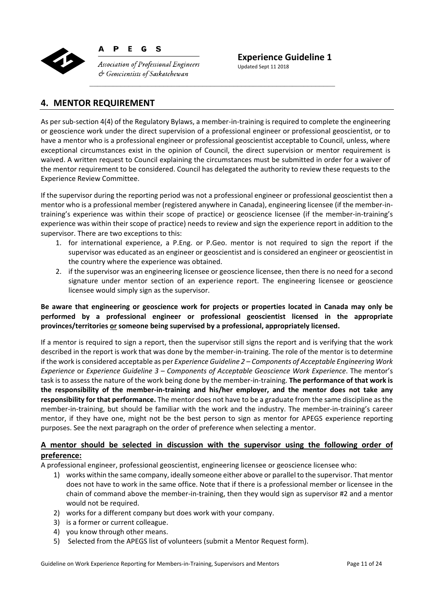

D E G  $\mathbf{s}$ 

**Association of Professional Engineers**  $c$  Geoscientists of Saskatchewan

**Experience Guideline 1** 

Updated Sept 11 2018

## **4. MENTOR REQUIREMENT**

As per sub-section 4(4) of the Regulatory Bylaws, a member-in-training is required to complete the engineering or geoscience work under the direct supervision of a professional engineer or professional geoscientist, or to have a mentor who is a professional engineer or professional geoscientist acceptable to Council, unless, where exceptional circumstances exist in the opinion of Council, the direct supervision or mentor requirement is waived. A written request to Council explaining the circumstances must be submitted in order for a waiver of the mentor requirement to be considered. Council has delegated the authority to review these requests to the Experience Review Committee.

If the supervisor during the reporting period was not a professional engineer or professional geoscientist then a mentor who is a professional member (registered anywhere in Canada), engineering licensee (if the member‐in‐ training's experience was within their scope of practice) or geoscience licensee (if the member‐in‐training's experience was within their scope of practice) needs to review and sign the experience report in addition to the supervisor. There are two exceptions to this:

- 1. for international experience, a P.Eng. or P.Geo. mentor is not required to sign the report if the supervisor was educated as an engineer or geoscientist and is considered an engineer or geoscientist in the country where the experience was obtained.
- 2. if the supervisor was an engineering licensee or geoscience licensee, then there is no need for a second signature under mentor section of an experience report. The engineering licensee or geoscience licensee would simply sign as the supervisor.

#### **Be aware that engineering or geoscience work for projects or properties located in Canada may only be performed by a professional engineer or professional geoscientist licensed in the appropriate provinces/territories or someone being supervised by a professional, appropriately licensed.**

If a mentor is required to sign a report, then the supervisor still signs the report and is verifying that the work described in the report is work that was done by the member‐in‐training. The role of the mentor is to determine if the work is considered acceptable as per *Experience Guideline 2 – Components of Acceptable Engineering Work Experience* or *Experience Guideline 3 – Components of Acceptable Geoscience Work Experience*. The mentor's task is to assess the nature of the work being done by the member‐in‐training. **The performance of that work is the responsibility of the member‐in‐training and his/her employer, and the mentor does not take any responsibility for that performance.** The mentor does not have to be a graduate from the same discipline as the member-in-training, but should be familiar with the work and the industry. The member-in-training's career mentor, if they have one, might not be the best person to sign as mentor for APEGS experience reporting purposes. See the next paragraph on the order of preference when selecting a mentor.

## **A mentor should be selected in discussion with the supervisor using the following order of preference:**

A professional engineer, professional geoscientist, engineering licensee or geoscience licensee who:

- 1) works within the same company, ideally someone either above or parallel to the supervisor. That mentor does not have to work in the same office. Note that if there is a professional member or licensee in the chain of command above the member-in-training, then they would sign as supervisor #2 and a mentor would not be required.
- 2) works for a different company but does work with your company.
- 3) is a former or current colleague.
- 4) you know through other means.
- 5) Selected from the APEGS list of volunteers (submit a Mentor Request form).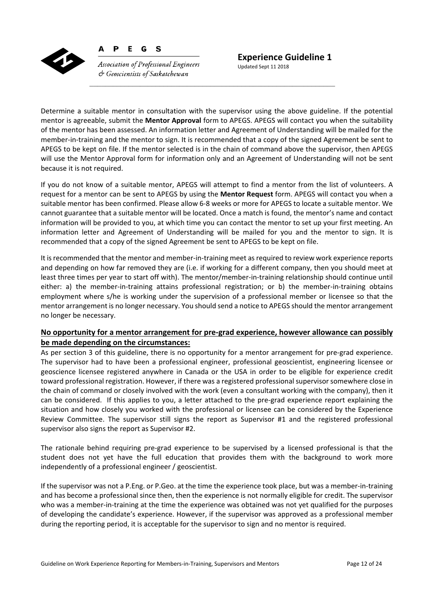

**Association of Professional Engineers**  $\circlearrowleft$  Geoscientists of Saskatchewan

Determine a suitable mentor in consultation with the supervisor using the above guideline. If the potential mentor is agreeable, submit the **Mentor Approval** form to APEGS. APEGS will contact you when the suitability of the mentor has been assessed. An information letter and Agreement of Understanding will be mailed for the member-in-training and the mentor to sign. It is recommended that a copy of the signed Agreement be sent to APEGS to be kept on file. If the mentor selected is in the chain of command above the supervisor, then APEGS will use the Mentor Approval form for information only and an Agreement of Understanding will not be sent because it is not required.

If you do not know of a suitable mentor, APEGS will attempt to find a mentor from the list of volunteers. A request for a mentor can be sent to APEGS by using the **Mentor Request** form. APEGS will contact you when a suitable mentor has been confirmed. Please allow 6‐8 weeks or more for APEGS to locate a suitable mentor. We cannot guarantee that a suitable mentor will be located. Once a match is found, the mentor's name and contact information will be provided to you, at which time you can contact the mentor to set up your first meeting. An information letter and Agreement of Understanding will be mailed for you and the mentor to sign. It is recommended that a copy of the signed Agreement be sent to APEGS to be kept on file.

It is recommended that the mentor and member-in-training meet as required to review work experience reports and depending on how far removed they are (i.e. if working for a different company, then you should meet at least three times per year to start off with). The mentor/member‐in‐training relationship should continue until either: a) the member-in-training attains professional registration; or b) the member-in-training obtains employment where s/he is working under the supervision of a professional member or licensee so that the mentor arrangement is no longer necessary. You should send a notice to APEGS should the mentor arrangement no longer be necessary.

#### **No opportunity for a mentor arrangement for pre‐grad experience, however allowance can possibly be made depending on the circumstances:**

As per section 3 of this guideline, there is no opportunity for a mentor arrangement for pre‐grad experience. The supervisor had to have been a professional engineer, professional geoscientist, engineering licensee or geoscience licensee registered anywhere in Canada or the USA in order to be eligible for experience credit toward professional registration. However, if there was a registered professional supervisor somewhere close in the chain of command or closely involved with the work (even a consultant working with the company), then it can be considered. If this applies to you, a letter attached to the pre-grad experience report explaining the situation and how closely you worked with the professional or licensee can be considered by the Experience Review Committee. The supervisor still signs the report as Supervisor #1 and the registered professional supervisor also signs the report as Supervisor #2.

The rationale behind requiring pre‐grad experience to be supervised by a licensed professional is that the student does not yet have the full education that provides them with the background to work more independently of a professional engineer / geoscientist.

If the supervisor was not a P.Eng. or P.Geo. at the time the experience took place, but was a member‐in‐training and has become a professional since then, then the experience is not normally eligible for credit. The supervisor who was a member-in-training at the time the experience was obtained was not yet qualified for the purposes of developing the candidate's experience. However, if the supervisor was approved as a professional member during the reporting period, it is acceptable for the supervisor to sign and no mentor is required.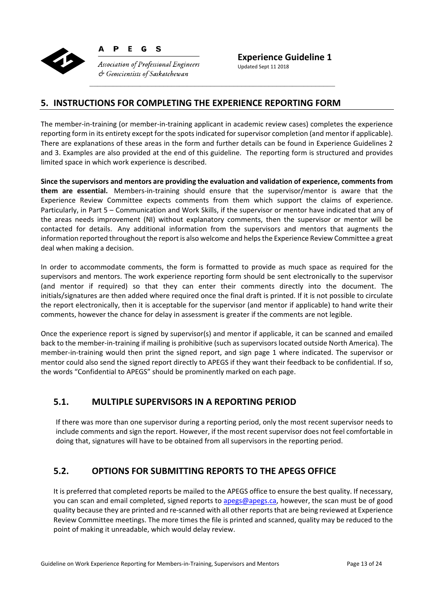

P E G <sub>S</sub>

**Association of Professional Engineers**  $\circlearrowleft$  Geoscientists of Saskatchewan

**Experience Guideline 1**  Updated Sept 11 2018

## **5. INSTRUCTIONS FOR COMPLETING THE EXPERIENCE REPORTING FORM**

The member‐in‐training (or member‐in‐training applicant in academic review cases) completes the experience reporting form in its entirety except for the spots indicated for supervisor completion (and mentor if applicable). There are explanations of these areas in the form and further details can be found in Experience Guidelines 2 and 3. Examples are also provided at the end of this guideline. The reporting form is structured and provides limited space in which work experience is described.

**Since the supervisors and mentors are providing the evaluation and validation of experience, comments from them are essential.**  Members‐in‐training should ensure that the supervisor/mentor is aware that the Experience Review Committee expects comments from them which support the claims of experience. Particularly, in Part 5 – Communication and Work Skills, if the supervisor or mentor have indicated that any of the areas needs improvement (NI) without explanatory comments, then the supervisor or mentor will be contacted for details. Any additional information from the supervisors and mentors that augments the information reported throughout the report is also welcome and helps the Experience Review Committee a great deal when making a decision.

In order to accommodate comments, the form is formatted to provide as much space as required for the supervisors and mentors. The work experience reporting form should be sent electronically to the supervisor (and mentor if required) so that they can enter their comments directly into the document. The initials/signatures are then added where required once the final draft is printed. If it is not possible to circulate the report electronically, then it is acceptable for the supervisor (and mentor if applicable) to hand write their comments, however the chance for delay in assessment is greater if the comments are not legible.

Once the experience report is signed by supervisor(s) and mentor if applicable, it can be scanned and emailed back to the member‐in‐training if mailing is prohibitive (such as supervisors located outside North America). The member-in-training would then print the signed report, and sign page 1 where indicated. The supervisor or mentor could also send the signed report directly to APEGS if they want their feedback to be confidential. If so, the words "Confidential to APEGS" should be prominently marked on each page.

## **5.1. MULTIPLE SUPERVISORS IN A REPORTING PERIOD**

If there was more than one supervisor during a reporting period, only the most recent supervisor needs to include comments and sign the report. However, if the most recent supervisor does not feel comfortable in doing that, signatures will have to be obtained from all supervisors in the reporting period.

## **5.2. OPTIONS FOR SUBMITTING REPORTS TO THE APEGS OFFICE**

It is preferred that completed reports be mailed to the APEGS office to ensure the best quality. If necessary, you can scan and email completed, signed reports to apegs@apegs.ca, however, the scan must be of good quality because they are printed and re‐scanned with all other reports that are being reviewed at Experience Review Committee meetings. The more times the file is printed and scanned, quality may be reduced to the point of making it unreadable, which would delay review.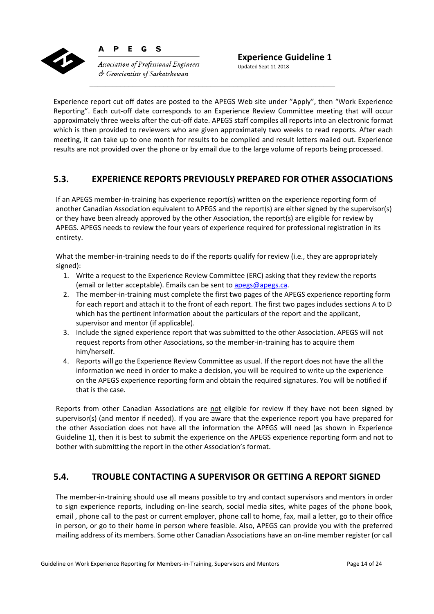

D E G  $\mathbf{s}$ 

**Association of Professional Engineers**  $\phi$  Geoscientists of Saskatchewan

Experience report cut off dates are posted to the APEGS Web site under "Apply", then "Work Experience Reporting". Each cut-off date corresponds to an Experience Review Committee meeting that will occur approximately three weeks after the cut‐off date. APEGS staff compiles all reports into an electronic format which is then provided to reviewers who are given approximately two weeks to read reports. After each meeting, it can take up to one month for results to be compiled and result letters mailed out. Experience results are not provided over the phone or by email due to the large volume of reports being processed.

## **5.3. EXPERIENCE REPORTS PREVIOUSLY PREPARED FOR OTHER ASSOCIATIONS**

If an APEGS member-in-training has experience report(s) written on the experience reporting form of another Canadian Association equivalent to APEGS and the report(s) are either signed by the supervisor(s) or they have been already approved by the other Association, the report(s) are eligible for review by APEGS. APEGS needs to review the four years of experience required for professional registration in its entirety.

What the member-in-training needs to do if the reports qualify for review (i.e., they are appropriately signed):

- 1. Write a request to the Experience Review Committee (ERC) asking that they review the reports (email or letter acceptable). Emails can be sent to apegs@apegs.ca.
- 2. The member-in-training must complete the first two pages of the APEGS experience reporting form for each report and attach it to the front of each report. The first two pages includes sections A to D which has the pertinent information about the particulars of the report and the applicant, supervisor and mentor (if applicable).
- 3. Include the signed experience report that was submitted to the other Association. APEGS will not request reports from other Associations, so the member‐in‐training has to acquire them him/herself.
- 4. Reports will go the Experience Review Committee as usual. If the report does not have the all the information we need in order to make a decision, you will be required to write up the experience on the APEGS experience reporting form and obtain the required signatures. You will be notified if that is the case.

Reports from other Canadian Associations are not eligible for review if they have not been signed by supervisor(s) (and mentor if needed). If you are aware that the experience report you have prepared for the other Association does not have all the information the APEGS will need (as shown in Experience Guideline 1), then it is best to submit the experience on the APEGS experience reporting form and not to bother with submitting the report in the other Association's format.

## **5.4. TROUBLE CONTACTING A SUPERVISOR OR GETTING A REPORT SIGNED**

The member-in-training should use all means possible to try and contact supervisors and mentors in order to sign experience reports, including on-line search, social media sites, white pages of the phone book, email , phone call to the past or current employer, phone call to home, fax, mail a letter, go to their office in person, or go to their home in person where feasible. Also, APEGS can provide you with the preferred mailing address of its members. Some other Canadian Associations have an on‐line member register (or call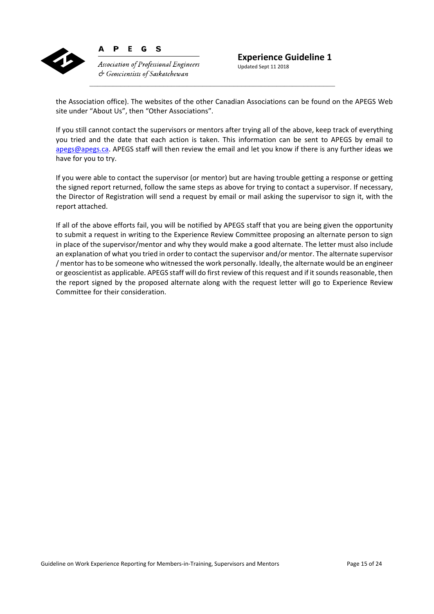

Updated Sept 11 2018

the Association office). The websites of the other Canadian Associations can be found on the APEGS Web site under "About Us", then "Other Associations".

If you still cannot contact the supervisors or mentors after trying all of the above, keep track of everything you tried and the date that each action is taken. This information can be sent to APEGS by email to apegs@apegs.ca. APEGS staff will then review the email and let you know if there is any further ideas we have for you to try.

If you were able to contact the supervisor (or mentor) but are having trouble getting a response or getting the signed report returned, follow the same steps as above for trying to contact a supervisor. If necessary, the Director of Registration will send a request by email or mail asking the supervisor to sign it, with the report attached.

If all of the above efforts fail, you will be notified by APEGS staff that you are being given the opportunity to submit a request in writing to the Experience Review Committee proposing an alternate person to sign in place of the supervisor/mentor and why they would make a good alternate. The letter must also include an explanation of what you tried in order to contact the supervisor and/or mentor. The alternate supervisor / mentor has to be someone who witnessed the work personally. Ideally, the alternate would be an engineer or geoscientist as applicable. APEGS staff will do first review of this request and if it sounds reasonable, then the report signed by the proposed alternate along with the request letter will go to Experience Review Committee for their consideration.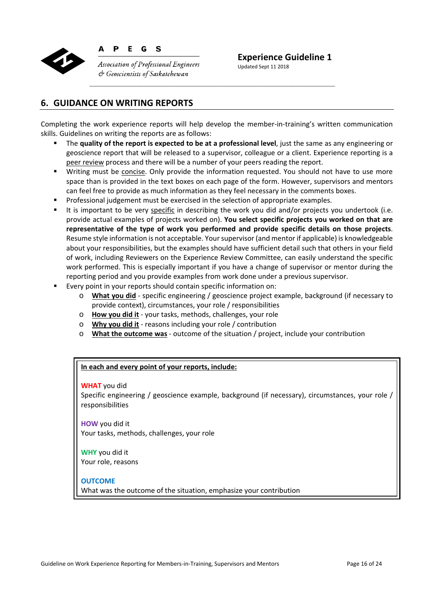

**Association of Professional Engineers**  $\circlearrowleft$  Geoscientists of Saskatchewan

**Experience Guideline 1** 

Updated Sept 11 2018

## **6. GUIDANCE ON WRITING REPORTS**

Completing the work experience reports will help develop the member-in-training's written communication skills. Guidelines on writing the reports are as follows:

- The **quality of the report is expected to be at a professional level**, just the same as any engineering or geoscience report that will be released to a supervisor, colleague or a client. Experience reporting is a peer review process and there will be a number of your peers reading the report.
- Writing must be concise. Only provide the information requested. You should not have to use more space than is provided in the text boxes on each page of the form. However, supervisors and mentors can feel free to provide as much information as they feel necessary in the comments boxes.
- **Professional judgement must be exercised in the selection of appropriate examples.**
- It is important to be very specific in describing the work you did and/or projects you undertook (i.e. provide actual examples of projects worked on). **You select specific projects you worked on that are representative of the type of work you performed and provide specific details on those projects**. Resume style information is not acceptable. Your supervisor (and mentor if applicable) is knowledgeable about your responsibilities, but the examples should have sufficient detail such that others in your field of work, including Reviewers on the Experience Review Committee, can easily understand the specific work performed. This is especially important if you have a change of supervisor or mentor during the reporting period and you provide examples from work done under a previous supervisor.
- Every point in your reports should contain specific information on:
	- o **What you did** ‐ specific engineering / geoscience project example, background (if necessary to provide context), circumstances, your role / responsibilities
	- o **How you did it** ‐ your tasks, methods, challenges, your role
	- o **Why you did it** ‐ reasons including your role / contribution
	- o **What the outcome was** ‐ outcome of the situation / project, include your contribution

#### **In each and every point of your reports, include:**

#### **WHAT** you did

Specific engineering / geoscience example, background (if necessary), circumstances, your role / responsibilities

**HOW** you did it Your tasks, methods, challenges, your role

**WHY** you did it Your role, reasons

#### **OUTCOME**

What was the outcome of the situation, emphasize your contribution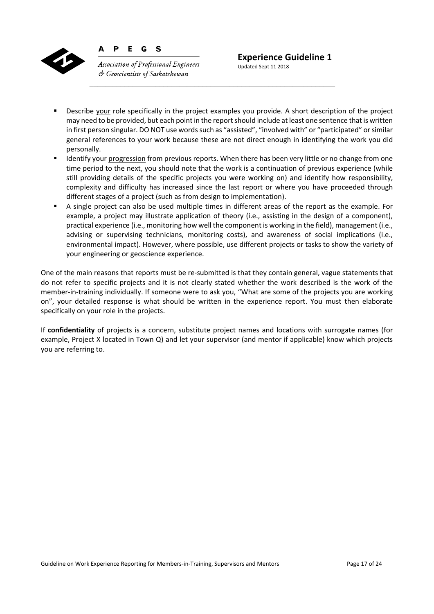

E G  $\mathbf{s}$ 

D

**Association of Professional Engineers**  $\circ$  Geoscientists of Saskatchewan

Updated Sept 11 2018

- Describe your role specifically in the project examples you provide. A short description of the project may need to be provided, but each point in the report should include at least one sentence that is written in first person singular. DO NOT use words such as "assisted", "involved with" or "participated" or similar general references to your work because these are not direct enough in identifying the work you did personally.
- Identify your progression from previous reports. When there has been very little or no change from one time period to the next, you should note that the work is a continuation of previous experience (while still providing details of the specific projects you were working on) and identify how responsibility, complexity and difficulty has increased since the last report or where you have proceeded through different stages of a project (such as from design to implementation).
- A single project can also be used multiple times in different areas of the report as the example. For example, a project may illustrate application of theory (i.e., assisting in the design of a component), practical experience (i.e., monitoring how well the component is working in the field), management (i.e., advising or supervising technicians, monitoring costs), and awareness of social implications (i.e., environmental impact). However, where possible, use different projects or tasks to show the variety of your engineering or geoscience experience.

One of the main reasons that reports must be re‐submitted is that they contain general, vague statements that do not refer to specific projects and it is not clearly stated whether the work described is the work of the member-in-training individually. If someone were to ask you, "What are some of the projects you are working on", your detailed response is what should be written in the experience report. You must then elaborate specifically on your role in the projects.

If confidentiality of projects is a concern, substitute project names and locations with surrogate names (for example, Project X located in Town Q) and let your supervisor (and mentor if applicable) know which projects you are referring to.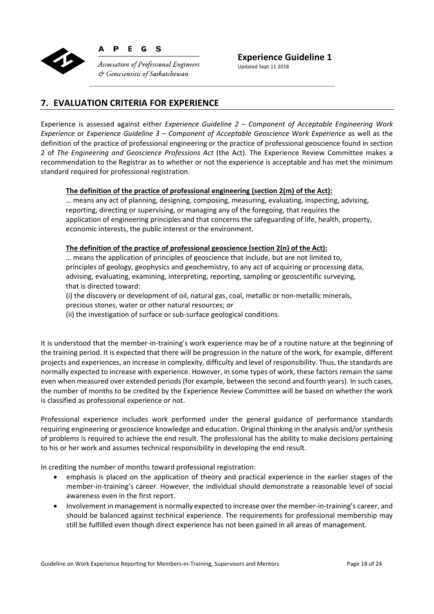

D E G <sub>S</sub>

**Association of Professional Engineers**  $\phi$  Geoscientists of Saskatchewan

**Experience Guideline 1**  Updated Sept 11 2018

## **7. EVALUATION CRITERIA FOR EXPERIENCE**

Experience is assessed against either *Experience Guideline 2 – Component of Acceptable Engineering Work Experience* or *Experience Guideline 3 – Component of Acceptable Geoscience Work Experience* as well as the definition of the practice of professional engineering or the practice of professional geoscience found in section 2 of *The Engineering and Geoscience Professions Act* (the Act). The Experience Review Committee makes a recommendation to the Registrar as to whether or not the experience is acceptable and has met the minimum standard required for professional registration.

#### **The definition of the practice of professional engineering (section 2(m) of the Act):**

… means any act of planning, designing, composing, measuring, evaluating, inspecting, advising, reporting, directing or supervising, or managing any of the foregoing, that requires the application of engineering principles and that concerns the safeguarding of life, health, property, economic interests, the public interest or the environment.

#### **The definition of the practice of professional geoscience (section 2(n) of the Act):**

… means the application of principles of geoscience that include, but are not limited to, principles of geology, geophysics and geochemistry, to any act of acquiring or processing data, advising, evaluating, examining, interpreting, reporting, sampling or geoscientific surveying, that is directed toward:

(i) the discovery or development of oil, natural gas, coal, metallic or non‐metallic minerals, precious stones, water or other natural resources; or

(ii) the investigation of surface or sub‐surface geological conditions.

It is understood that the member‐in‐training's work experience may be of a routine nature at the beginning of the training period. It is expected that there will be progression in the nature of the work, for example, different projects and experiences, an increase in complexity, difficulty and level of responsibility. Thus, the standards are normally expected to increase with experience. However, in some types of work, these factors remain the same even when measured over extended periods (for example, between the second and fourth years). In such cases, the number of months to be credited by the Experience Review Committee will be based on whether the work is classified as professional experience or not.

Professional experience includes work performed under the general guidance of performance standards requiring engineering or geoscience knowledge and education. Original thinking in the analysis and/or synthesis of problems is required to achieve the end result. The professional has the ability to make decisions pertaining to his or her work and assumes technical responsibility in developing the end result.

In crediting the number of months toward professional registration:

- emphasis is placed on the application of theory and practical experience in the earlier stages of the member-in-training's career. However, the individual should demonstrate a reasonable level of social awareness even in the first report.
- Involvement in management is normally expected to increase over the member‐in‐training's career, and should be balanced against technical experience. The requirements for professional membership may still be fulfilled even though direct experience has not been gained in all areas of management.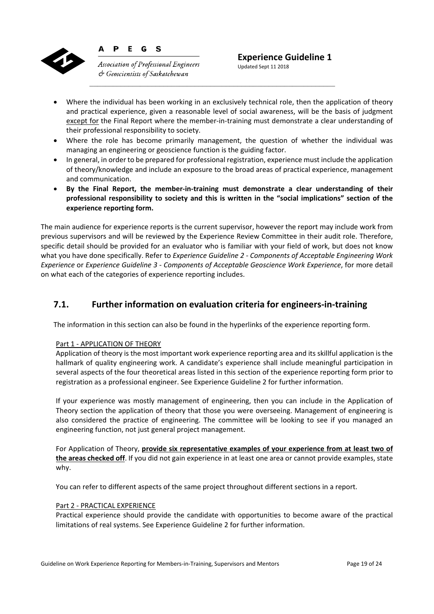

**Association of Professional Engineers**  $\circ$  Geoscientists of Saskatchewan

P E G <sub>S</sub>

Updated Sept 11 2018

- Where the individual has been working in an exclusively technical role, then the application of theory and practical experience, given a reasonable level of social awareness, will be the basis of judgment except for the Final Report where the member-in-training must demonstrate a clear understanding of their professional responsibility to society.
- Where the role has become primarily management, the question of whether the individual was managing an engineering or geoscience function is the guiding factor.
- In general, in order to be prepared for professional registration, experience must include the application of theory/knowledge and include an exposure to the broad areas of practical experience, management and communication.
- **By the Final Report, the member‐in‐training must demonstrate a clear understanding of their professional responsibility to society and this is written in the "social implications" section of the experience reporting form.**

The main audience for experience reports is the current supervisor, however the report may include work from previous supervisors and will be reviewed by the Experience Review Committee in their audit role. Therefore, specific detail should be provided for an evaluator who is familiar with your field of work, but does not know what you have done specifically. Refer to *Experience Guideline 2 ‐ Components of Acceptable Engineering Work Experience* or *Experience Guideline 3 ‐ Components of Acceptable Geoscience Work Experience*, for more detail on what each of the categories of experience reporting includes.

## **7.1. Further information on evaluation criteria for engineers‐in‐training**

The information in this section can also be found in the hyperlinks of the experience reporting form.

#### Part 1 ‐ APPLICATION OF THEORY

Application of theory is the most important work experience reporting area and its skillful application is the hallmark of quality engineering work. A candidate's experience shall include meaningful participation in several aspects of the four theoretical areas listed in this section of the experience reporting form prior to registration as a professional engineer. See Experience Guideline 2 for further information.

If your experience was mostly management of engineering, then you can include in the Application of Theory section the application of theory that those you were overseeing. Management of engineering is also considered the practice of engineering. The committee will be looking to see if you managed an engineering function, not just general project management.

For Application of Theory, **provide six representative examples of your experience from at least two of the areas checked off**. If you did not gain experience in at least one area or cannot provide examples, state why.

You can refer to different aspects of the same project throughout different sections in a report.

#### Part 2 ‐ PRACTICAL EXPERIENCE

Practical experience should provide the candidate with opportunities to become aware of the practical limitations of real systems. See Experience Guideline 2 for further information.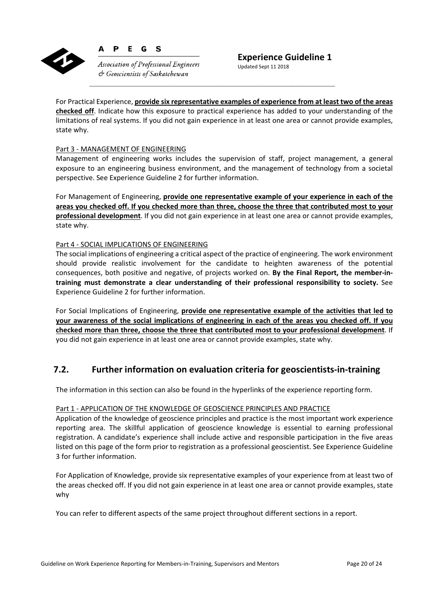

Đ E. G S

**Association of Professional Engineers**  $\phi$  Geoscientists of Saskatchewan

Updated Sept 11 2018

For Practical Experience, **provide six representative examples of experience from at least two of the areas checked off**. Indicate how this exposure to practical experience has added to your understanding of the limitations of real systems. If you did not gain experience in at least one area or cannot provide examples, state why.

#### Part 3 ‐ MANAGEMENT OF ENGINEERING

Management of engineering works includes the supervision of staff, project management, a general exposure to an engineering business environment, and the management of technology from a societal perspective. See Experience Guideline 2 for further information.

For Management of Engineering, **provide one representative example of your experience in each of the areas you checked off. If you checked more than three, choose the three that contributed most to your professional development**. If you did not gain experience in at least one area or cannot provide examples, state why.

#### Part 4 ‐ SOCIAL IMPLICATIONS OF ENGINEERING

The social implications of engineering a critical aspect of the practice of engineering. The work environment should provide realistic involvement for the candidate to heighten awareness of the potential consequences, both positive and negative, of projects worked on. **By the Final Report, the member‐in‐ training must demonstrate a clear understanding of their professional responsibility to society.** See Experience Guideline 2 for further information.

For Social Implications of Engineering, **provide one representative example of the activities that led to your awareness of the social implications of engineering in each of the areas you checked off. If you checked more than three, choose the three that contributed most to your professional development**. If you did not gain experience in at least one area or cannot provide examples, state why.

## **7.2. Further information on evaluation criteria for geoscientists‐in‐training**

The information in this section can also be found in the hyperlinks of the experience reporting form.

#### Part 1 - APPLICATION OF THE KNOWLEDGE OF GEOSCIENCE PRINCIPLES AND PRACTICE

Application of the knowledge of geoscience principles and practice is the most important work experience reporting area. The skillful application of geoscience knowledge is essential to earning professional registration. A candidate's experience shall include active and responsible participation in the five areas listed on this page of the form prior to registration as a professional geoscientist. See Experience Guideline 3 for further information.

For Application of Knowledge, provide six representative examples of your experience from at least two of the areas checked off. If you did not gain experience in at least one area or cannot provide examples, state why

You can refer to different aspects of the same project throughout different sections in a report.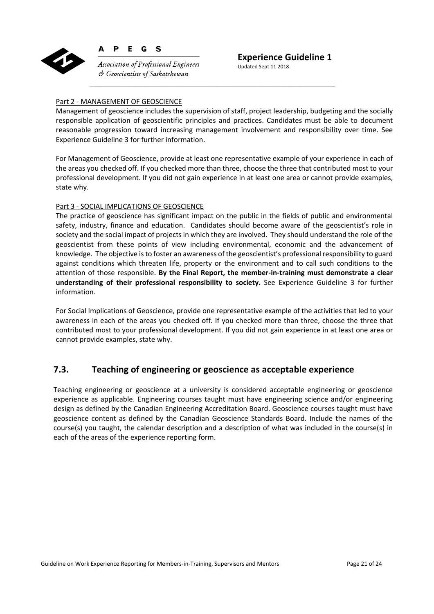

D E G  $\mathbf{s}$ 

**Association of Professional Engineers**  $\circlearrowleft$  Geoscientists of Saskatchewan

Updated Sept 11 2018

#### Part 2 ‐ MANAGEMENT OF GEOSCIENCE

Management of geoscience includes the supervision of staff, project leadership, budgeting and the socially responsible application of geoscientific principles and practices. Candidates must be able to document reasonable progression toward increasing management involvement and responsibility over time. See Experience Guideline 3 for further information.

For Management of Geoscience, provide at least one representative example of your experience in each of the areas you checked off. If you checked more than three, choose the three that contributed most to your professional development. If you did not gain experience in at least one area or cannot provide examples, state why.

#### Part 3 ‐ SOCIAL IMPLICATIONS OF GEOSCIENCE

The practice of geoscience has significant impact on the public in the fields of public and environmental safety, industry, finance and education. Candidates should become aware of the geoscientist's role in society and the social impact of projects in which they are involved. They should understand the role of the geoscientist from these points of view including environmental, economic and the advancement of knowledge. The objective is to foster an awareness of the geoscientist's professional responsibility to guard against conditions which threaten life, property or the environment and to call such conditions to the attention of those responsible. **By the Final Report, the member‐in‐training must demonstrate a clear understanding of their professional responsibility to society.** See Experience Guideline 3 for further information.

For Social Implications of Geoscience, provide one representative example of the activities that led to your awareness in each of the areas you checked off. If you checked more than three, choose the three that contributed most to your professional development. If you did not gain experience in at least one area or cannot provide examples, state why.

## **7.3. Teaching of engineering or geoscience as acceptable experience**

Teaching engineering or geoscience at a university is considered acceptable engineering or geoscience experience as applicable. Engineering courses taught must have engineering science and/or engineering design as defined by the Canadian Engineering Accreditation Board. Geoscience courses taught must have geoscience content as defined by the Canadian Geoscience Standards Board. Include the names of the course(s) you taught, the calendar description and a description of what was included in the course(s) in each of the areas of the experience reporting form.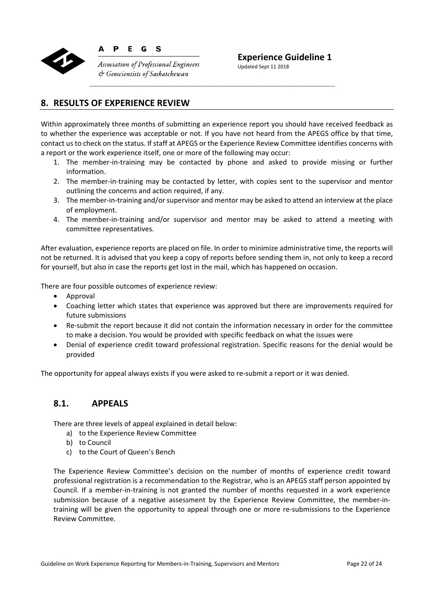

P E G S

 $\circ$  Geoscientists of Saskatchewan

**Association of Professional Engineers** 

**Experience Guideline 1** 

Updated Sept 11 2018

## **8. RESULTS OF EXPERIENCE REVIEW**

Within approximately three months of submitting an experience report you should have received feedback as to whether the experience was acceptable or not. If you have not heard from the APEGS office by that time, contact us to check on the status. If staff at APEGS or the Experience Review Committee identifies concerns with a report or the work experience itself, one or more of the following may occur:

- 1. The member-in-training may be contacted by phone and asked to provide missing or further information.
- 2. The member-in-training may be contacted by letter, with copies sent to the supervisor and mentor outlining the concerns and action required, if any.
- 3. The member-in-training and/or supervisor and mentor may be asked to attend an interview at the place of employment.
- 4. The member-in-training and/or supervisor and mentor may be asked to attend a meeting with committee representatives.

After evaluation, experience reports are placed on file. In order to minimize administrative time, the reports will not be returned. It is advised that you keep a copy of reports before sending them in, not only to keep a record for yourself, but also in case the reports get lost in the mail, which has happened on occasion.

There are four possible outcomes of experience review:

- Approval
- Coaching letter which states that experience was approved but there are improvements required for future submissions
- Re-submit the report because it did not contain the information necessary in order for the committee to make a decision. You would be provided with specific feedback on what the issues were
- Denial of experience credit toward professional registration. Specific reasons for the denial would be provided

The opportunity for appeal always exists if you were asked to re‐submit a report or it was denied.

## **8.1. APPEALS**

There are three levels of appeal explained in detail below:

- a) to the Experience Review Committee
- b) to Council
- c) to the Court of Queen's Bench

The Experience Review Committee's decision on the number of months of experience credit toward professional registration is a recommendation to the Registrar, who is an APEGS staff person appointed by Council. If a member-in-training is not granted the number of months requested in a work experience submission because of a negative assessment by the Experience Review Committee, the member-intraining will be given the opportunity to appeal through one or more re-submissions to the Experience Review Committee.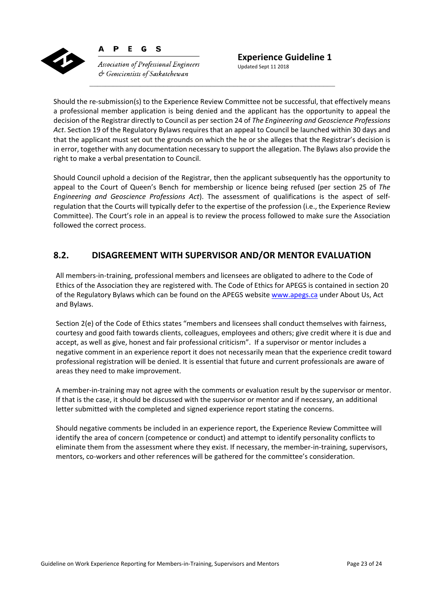

G **Association of Professional Engineers**  $\phi$  Geoscientists of Saskatchewan

<sub>S</sub>

D E

Should the re‐submission(s) to the Experience Review Committee not be successful, that effectively means a professional member application is being denied and the applicant has the opportunity to appeal the decision of the Registrar directly to Council as per section 24 of *The Engineering and Geoscience Professions Act*. Section 19 of the Regulatory Bylaws requires that an appeal to Council be launched within 30 days and that the applicant must set out the grounds on which the he or she alleges that the Registrar's decision is in error, together with any documentation necessary to support the allegation. The Bylaws also provide the right to make a verbal presentation to Council.

Should Council uphold a decision of the Registrar, then the applicant subsequently has the opportunity to appeal to the Court of Queen's Bench for membership or licence being refused (per section 25 of The *Engineering and Geoscience Professions Act*). The assessment of qualifications is the aspect of self‐ regulation that the Courts will typically defer to the expertise of the profession (i.e., the Experience Review Committee). The Court's role in an appeal is to review the process followed to make sure the Association followed the correct process.

## **8.2. DISAGREEMENT WITH SUPERVISOR AND/OR MENTOR EVALUATION**

All members‐in‐training, professional members and licensees are obligated to adhere to the Code of Ethics of the Association they are registered with. The Code of Ethics for APEGS is contained in section 20 of the Regulatory Bylaws which can be found on the APEGS website www.apegs.ca under About Us, Act and Bylaws.

Section 2(e) of the Code of Ethics states "members and licensees shall conduct themselves with fairness, courtesy and good faith towards clients, colleagues, employees and others; give credit where it is due and accept, as well as give, honest and fair professional criticism". If a supervisor or mentor includes a negative comment in an experience report it does not necessarily mean that the experience credit toward professional registration will be denied. It is essential that future and current professionals are aware of areas they need to make improvement.

A member‐in‐training may not agree with the comments or evaluation result by the supervisor or mentor. If that is the case, it should be discussed with the supervisor or mentor and if necessary, an additional letter submitted with the completed and signed experience report stating the concerns.

Should negative comments be included in an experience report, the Experience Review Committee will identify the area of concern (competence or conduct) and attempt to identify personality conflicts to eliminate them from the assessment where they exist. If necessary, the member-in-training, supervisors, mentors, co-workers and other references will be gathered for the committee's consideration.